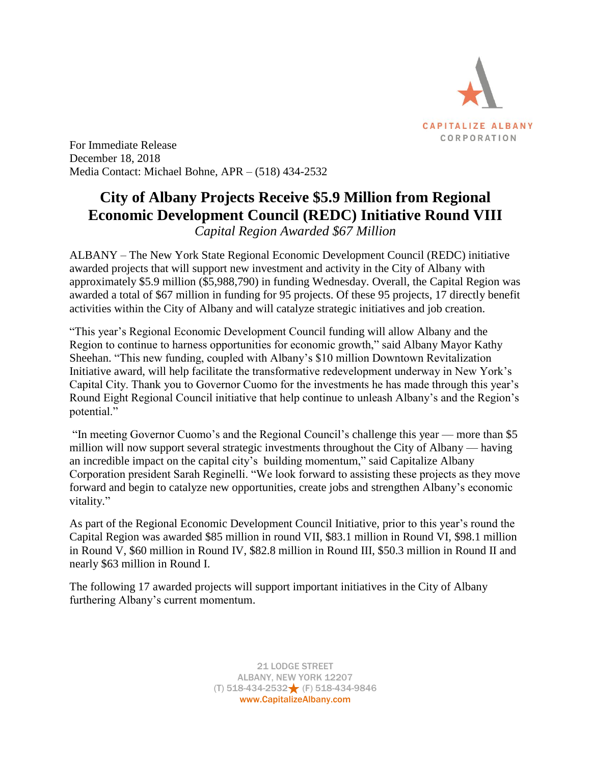

For Immediate Release December 18, 2018 Media Contact: Michael Bohne, APR – (518) 434-2532

## **City of Albany Projects Receive \$5.9 Million from Regional Economic Development Council (REDC) Initiative Round VIII**

*Capital Region Awarded \$67 Million*

ALBANY – The New York State Regional Economic Development Council (REDC) initiative awarded projects that will support new investment and activity in the City of Albany with approximately \$5.9 million (\$5,988,790) in funding Wednesday. Overall, the Capital Region was awarded a total of \$67 million in funding for 95 projects. Of these 95 projects, 17 directly benefit activities within the City of Albany and will catalyze strategic initiatives and job creation.

"This year's Regional Economic Development Council funding will allow Albany and the Region to continue to harness opportunities for economic growth," said Albany Mayor Kathy Sheehan. "This new funding, coupled with Albany's \$10 million Downtown Revitalization Initiative award, will help facilitate the transformative redevelopment underway in New York's Capital City. Thank you to Governor Cuomo for the investments he has made through this year's Round Eight Regional Council initiative that help continue to unleash Albany's and the Region's potential."

"In meeting Governor Cuomo's and the Regional Council's challenge this year — more than \$5 million will now support several strategic investments throughout the City of Albany — having an incredible impact on the capital city's building momentum," said Capitalize Albany Corporation president Sarah Reginelli. "We look forward to assisting these projects as they move forward and begin to catalyze new opportunities, create jobs and strengthen Albany's economic vitality."

As part of the Regional Economic Development Council Initiative, prior to this year's round the Capital Region was awarded \$85 million in round VII, \$83.1 million in Round VI, \$98.1 million in Round V, \$60 million in Round IV, \$82.8 million in Round III, \$50.3 million in Round II and nearly \$63 million in Round I.

The following 17 awarded projects will support important initiatives in the City of Albany furthering Albany's current momentum.

> 21 LODGE STREET ALBANY, NEW YORK 12207 (T) 518-434-2532 (F) 518-434-9846 www.CapitalizeAlbany.com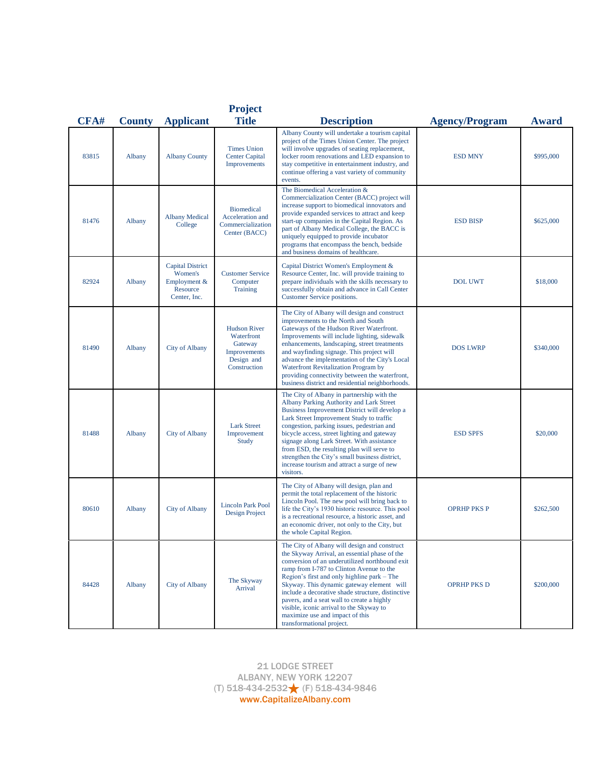| CFA#  |        | <b>County</b> Applicant                                                        | <b>Project</b><br><b>Title</b>                                                             | <b>Description</b>                                                                                                                                                                                                                                                                                                                                                                                                                                                                                     | <b>Agency/Program</b> | <b>Award</b> |
|-------|--------|--------------------------------------------------------------------------------|--------------------------------------------------------------------------------------------|--------------------------------------------------------------------------------------------------------------------------------------------------------------------------------------------------------------------------------------------------------------------------------------------------------------------------------------------------------------------------------------------------------------------------------------------------------------------------------------------------------|-----------------------|--------------|
| 83815 | Albany | <b>Albany County</b>                                                           | <b>Times Union</b><br><b>Center Capital</b><br>Improvements                                | Albany County will undertake a tourism capital<br>project of the Times Union Center. The project<br>will involve upgrades of seating replacement,<br>locker room renovations and LED expansion to<br>stay competitive in entertainment industry, and<br>continue offering a vast variety of community<br>events.                                                                                                                                                                                       | <b>ESD MNY</b>        | \$995,000    |
| 81476 | Albany | <b>Albany Medical</b><br>College                                               | <b>Biomedical</b><br>Acceleration and<br>Commercialization<br>Center (BACC)                | The Biomedical Acceleration &<br>Commercialization Center (BACC) project will<br>increase support to biomedical innovators and<br>provide expanded services to attract and keep<br>start-up companies in the Capital Region. As<br>part of Albany Medical College, the BACC is<br>uniquely equipped to provide incubator<br>programs that encompass the bench, bedside<br>and business domains of healthcare.                                                                                          | <b>ESD BISP</b>       | \$625,000    |
| 82924 | Albany | <b>Capital District</b><br>Women's<br>Employment &<br>Resource<br>Center, Inc. | <b>Customer Service</b><br>Computer<br><b>Training</b>                                     | Capital District Women's Employment &<br>Resource Center, Inc. will provide training to<br>prepare individuals with the skills necessary to<br>successfully obtain and advance in Call Center<br>Customer Service positions.                                                                                                                                                                                                                                                                           | <b>DOL UWT</b>        | \$18,000     |
| 81490 | Albany | <b>City of Albany</b>                                                          | <b>Hudson River</b><br>Waterfront<br>Gateway<br>Improvements<br>Design and<br>Construction | The City of Albany will design and construct<br>improvements to the North and South<br>Gateways of the Hudson River Waterfront.<br>Improvements will include lighting, sidewalk<br>enhancements, landscaping, street treatments<br>and wayfinding signage. This project will<br>advance the implementation of the City's Local<br>Waterfront Revitalization Program by<br>providing connectivity between the waterfront,<br>business district and residential neighborhoods.                           | <b>DOS LWRP</b>       | \$340,000    |
| 81488 | Albany | City of Albany                                                                 | <b>Lark Street</b><br>Improvement<br>Study                                                 | The City of Albany in partnership with the<br>Albany Parking Authority and Lark Street<br>Business Improvement District will develop a<br>Lark Street Improvement Study to traffic<br>congestion, parking issues, pedestrian and<br>bicycle access, street lighting and gateway<br>signage along Lark Street. With assistance<br>from ESD, the resulting plan will serve to<br>strengthen the City's small business district,<br>increase tourism and attract a surge of new<br>visitors.              | <b>ESD SPFS</b>       | \$20,000     |
| 80610 | Albany | <b>City of Albany</b>                                                          | <b>Lincoln Park Pool</b><br>Design Project                                                 | The City of Albany will design, plan and<br>permit the total replacement of the historic<br>Lincoln Pool. The new pool will bring back to<br>life the City's 1930 historic resource. This pool<br>is a recreational resource, a historic asset, and<br>an economic driver, not only to the City, but<br>the whole Capital Region.                                                                                                                                                                      | <b>OPRHP PKS P</b>    | \$262,500    |
| 84428 | Albany | <b>City of Albany</b>                                                          | The Skyway<br>Arrival                                                                      | The City of Albany will design and construct<br>the Skyway Arrival, an essential phase of the<br>conversion of an underutilized northbound exit<br>ramp from I-787 to Clinton Avenue to the<br>Region's first and only highline park – The<br>Skyway. This dynamic gateway element will<br>include a decorative shade structure, distinctive<br>pavers, and a seat wall to create a highly<br>visible, iconic arrival to the Skyway to<br>maximize use and impact of this<br>transformational project. | <b>OPRHP PKS D</b>    | \$200,000    |

21 LODGE STREET ALBANY, NEW YORK 12207 (T) 518-434-2532 (F) 518-434-9846 www.CapitalizeAlbany.com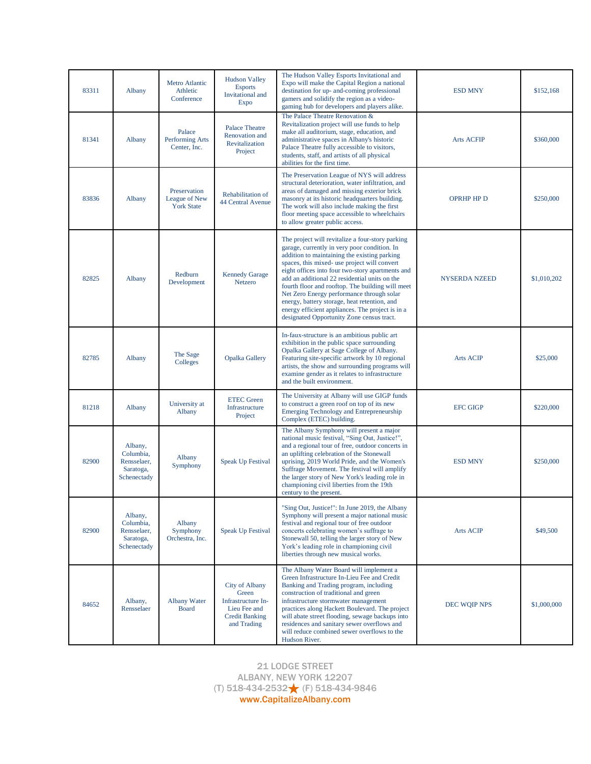| 83311 | Albany                                                          | Metro Atlantic<br>Athletic<br>Conference           | <b>Hudson Valley</b><br><b>Esports</b><br>Invitational and<br><b>Expo</b>                                           | The Hudson Valley Esports Invitational and<br>Expo will make the Capital Region a national<br>destination for up- and-coming professional<br>gamers and solidify the region as a video-<br>gaming hub for developers and players alike.                                                                                                                                                                                                                                                                                                                 | <b>ESD MNY</b>       | \$152,168   |
|-------|-----------------------------------------------------------------|----------------------------------------------------|---------------------------------------------------------------------------------------------------------------------|---------------------------------------------------------------------------------------------------------------------------------------------------------------------------------------------------------------------------------------------------------------------------------------------------------------------------------------------------------------------------------------------------------------------------------------------------------------------------------------------------------------------------------------------------------|----------------------|-------------|
| 81341 | Albany                                                          | Palace<br>Performing Arts<br>Center, Inc.          | <b>Palace Theatre</b><br>Renovation and<br>Revitalization<br>Project                                                | The Palace Theatre Renovation &<br>Revitalization project will use funds to help<br>make all auditorium, stage, education, and<br>administrative spaces in Albany's historic<br>Palace Theatre fully accessible to visitors,<br>students, staff, and artists of all physical<br>abilities for the first time.                                                                                                                                                                                                                                           | <b>Arts ACFIP</b>    | \$360,000   |
| 83836 | Albany                                                          | Preservation<br>League of New<br><b>York State</b> | <b>Rehabilitation of</b><br>44 Central Avenue                                                                       | The Preservation League of NYS will address<br>structural deterioration, water infiltration, and<br>areas of damaged and missing exterior brick<br>masonry at its historic headquarters building.<br>The work will also include making the first<br>floor meeting space accessible to wheelchairs<br>to allow greater public access.                                                                                                                                                                                                                    | <b>OPRHP HP D</b>    | \$250,000   |
| 82825 | Albany                                                          | Redburn<br>Development                             | <b>Kennedy Garage</b><br>Netzero                                                                                    | The project will revitalize a four-story parking<br>garage, currently in very poor condition. In<br>addition to maintaining the existing parking<br>spaces, this mixed- use project will convert<br>eight offices into four two-story apartments and<br>add an additional 22 residential units on the<br>fourth floor and rooftop. The building will meet<br>Net Zero Energy performance through solar<br>energy, battery storage, heat retention, and<br>energy efficient appliances. The project is in a<br>designated Opportunity Zone census tract. | <b>NYSERDA NZEED</b> | \$1,010,202 |
| 82785 | Albany                                                          | The Sage<br>Colleges                               | <b>Opalka Gallery</b>                                                                                               | In-faux-structure is an ambitious public art<br>exhibition in the public space surrounding<br>Opalka Gallery at Sage College of Albany.<br>Featuring site-specific artwork by 10 regional<br>artists, the show and surrounding programs will<br>examine gender as it relates to infrastructure<br>and the built environment.                                                                                                                                                                                                                            | <b>Arts ACIP</b>     | \$25,000    |
| 81218 | Albany                                                          | University at<br>Albany                            | <b>ETEC Green</b><br>Infrastructure<br>Project                                                                      | The University at Albany will use GIGP funds<br>to construct a green roof on top of its new<br>Emerging Technology and Entrepreneurship<br>Complex (ETEC) building.                                                                                                                                                                                                                                                                                                                                                                                     | <b>EFC GIGP</b>      | \$220,000   |
| 82900 | Albany,<br>Columbia,<br>Rensselaer,<br>Saratoga,<br>Schenectady | Albany<br>Symphony                                 | <b>Speak Up Festival</b>                                                                                            | The Albany Symphony will present a major<br>national music festival, "Sing Out, Justice!",<br>and a regional tour of free, outdoor concerts in<br>an uplifting celebration of the Stonewall<br>uprising, 2019 World Pride, and the Women's<br>Suffrage Movement. The festival will amplify<br>the larger story of New York's leading role in<br>championing civil liberties from the 19th<br>century to the present.                                                                                                                                    | <b>ESD MNY</b>       | \$250,000   |
| 82900 | Albany,<br>Columbia,<br>Rensselaer,<br>Saratoga,<br>Schenectady | Albany<br>Symphony<br>Orchestra, Inc.              | <b>Speak Up Festival</b>                                                                                            | "Sing Out, Justice!": In June 2019, the Albany<br>Symphony will present a major national music<br>festival and regional tour of free outdoor<br>concerts celebrating women's suffrage to<br>Stonewall 50, telling the larger story of New<br>York's leading role in championing civil<br>liberties through new musical works.                                                                                                                                                                                                                           | <b>Arts ACIP</b>     | \$49,500    |
| 84652 | Albany,<br>Rensselaer                                           | <b>Albany Water</b><br><b>Board</b>                | <b>City of Albany</b><br>Green<br><b>Infrastructure In-</b><br>Lieu Fee and<br><b>Credit Banking</b><br>and Trading | The Albany Water Board will implement a<br>Green Infrastructure In-Lieu Fee and Credit<br>Banking and Trading program, including<br>construction of traditional and green<br>infrastructure stormwater management<br>practices along Hackett Boulevard. The project<br>will abate street flooding, sewage backups into<br>residences and sanitary sewer overflows and<br>will reduce combined sewer overflows to the<br>Hudson River.                                                                                                                   | DEC WQIP NPS         | \$1,000,000 |

21 LODGE STREET ALBANY, NEW YORK 12207 (T) 518-434-2532 (F) 518-434-9846 www.CapitalizeAlbany.com